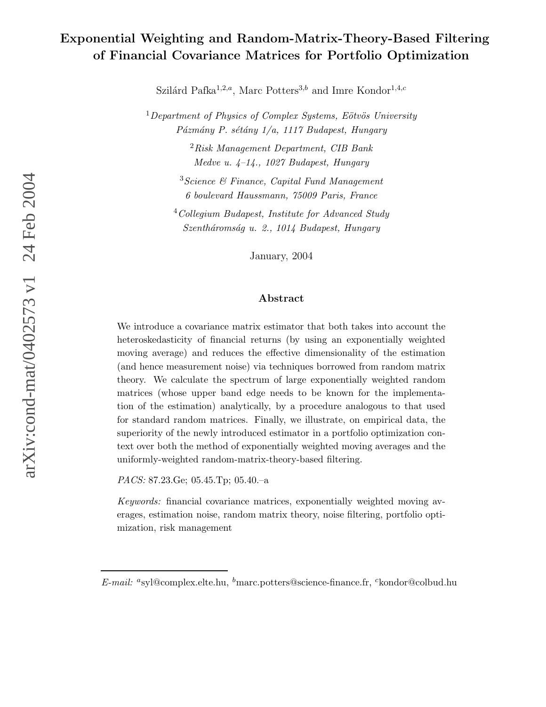# Exponential Weighting and Random-Matrix-Theory-Based Filtering of Financial Covariance Matrices for Portfolio Optimization

Szilárd Pafka<sup>1,2,a</sup>, Marc Potters<sup>3,b</sup> and Imre Kondor<sup>1,4,c</sup>

 $1$ Department of Physics of Complex Systems, Eötvös University  $P\acute{a}zm\acute{a}ny$  P. sétány 1/a, 1117 Budapest, Hungary

> $2Risk$  Management Department, CIB Bank Medve u. 4–14., 1027 Budapest, Hungary

 $3 Science \& Finance, Capital Fund Management$ 6 boulevard Haussmann, 75009 Paris, France

<sup>4</sup>Collegium Budapest, Institute for Advanced Study Szentháromság u. 2., 1014 Budapest, Hungary

January, 2004

#### Abstract

We introduce a covariance matrix estimator that both takes into account the heteroskedasticity of financial returns (by using an exponentially weighted moving average) and reduces the effective dimensionality of the estimation (and hence measurement noise) via techniques borrowed from random matrix theory. We calculate the spectrum of large exponentially weighted random matrices (whose upper band edge needs to be known for the implementation of the estimation) analytically, by a procedure analogous to that used for standard random matrices. Finally, we illustrate, on empirical data, the superiority of the newly introduced estimator in a portfolio optimization context over both the method of exponentially weighted moving averages and the uniformly-weighted random-matrix-theory-based filtering.

PACS: 87.23.Ge; 05.45.Tp; 05.40.–a

Keywords: financial covariance matrices, exponentially weighted moving averages, estimation noise, random matrix theory, noise filtering, portfolio optimization, risk management

E-mail: <sup>a</sup>syl@complex.elte.hu, <sup>b</sup>marc.potters@science-finance.fr, <sup>c</sup>kondor@colbud.hu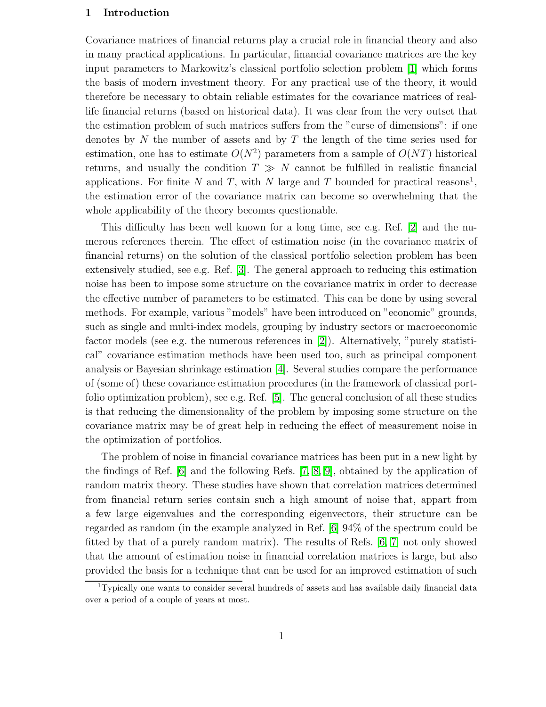#### 1 Introduction

Covariance matrices of financial returns play a crucial role in financial theory and also in many practical applications. In particular, financial covariance matrices are the key input parameters to Markowitz's classical portfolio selection problem [\[1\]](#page-11-0) which forms the basis of modern investment theory. For any practical use of the theory, it would therefore be necessary to obtain reliable estimates for the covariance matrices of reallife financial returns (based on historical data). It was clear from the very outset that the estimation problem of such matrices suffers from the "curse of dimensions": if one denotes by N the number of assets and by T the length of the time series used for estimation, one has to estimate  $O(N^2)$  parameters from a sample of  $O(NT)$  historical returns, and usually the condition  $T \gg N$  cannot be fulfilled in realistic financial applications. For finite N and T, with N large and T bounded for practical reasons<sup>1</sup>, the estimation error of the covariance matrix can become so overwhelming that the whole applicability of the theory becomes questionable.

This difficulty has been well known for a long time, see e.g. Ref. [\[2\]](#page-11-1) and the numerous references therein. The effect of estimation noise (in the covariance matrix of financial returns) on the solution of the classical portfolio selection problem has been extensively studied, see e.g. Ref. [\[3\]](#page-11-2). The general approach to reducing this estimation noise has been to impose some structure on the covariance matrix in order to decrease the effective number of parameters to be estimated. This can be done by using several methods. For example, various "models" have been introduced on "economic" grounds, such as single and multi-index models, grouping by industry sectors or macroeconomic factor models (see e.g. the numerous references in [\[2\]](#page-11-1)). Alternatively, "purely statistical" covariance estimation methods have been used too, such as principal component analysis or Bayesian shrinkage estimation [\[4\]](#page-11-3). Several studies compare the performance of (some of) these covariance estimation procedures (in the framework of classical portfolio optimization problem), see e.g. Ref. [\[5\]](#page-12-0). The general conclusion of all these studies is that reducing the dimensionality of the problem by imposing some structure on the covariance matrix may be of great help in reducing the effect of measurement noise in the optimization of portfolios.

The problem of noise in financial covariance matrices has been put in a new light by the findings of Ref. [\[6\]](#page-12-1) and the following Refs. [\[7,](#page-12-2) [8,](#page-12-3) [9\]](#page-12-4), obtained by the application of random matrix theory. These studies have shown that correlation matrices determined from financial return series contain such a high amount of noise that, appart from a few large eigenvalues and the corresponding eigenvectors, their structure can be regarded as random (in the example analyzed in Ref. [\[6\]](#page-12-1) 94% of the spectrum could be fitted by that of a purely random matrix). The results of Refs. [\[6,](#page-12-1) [7\]](#page-12-2) not only showed that the amount of estimation noise in financial correlation matrices is large, but also provided the basis for a technique that can be used for an improved estimation of such

<sup>1</sup>Typically one wants to consider several hundreds of assets and has available daily financial data over a period of a couple of years at most.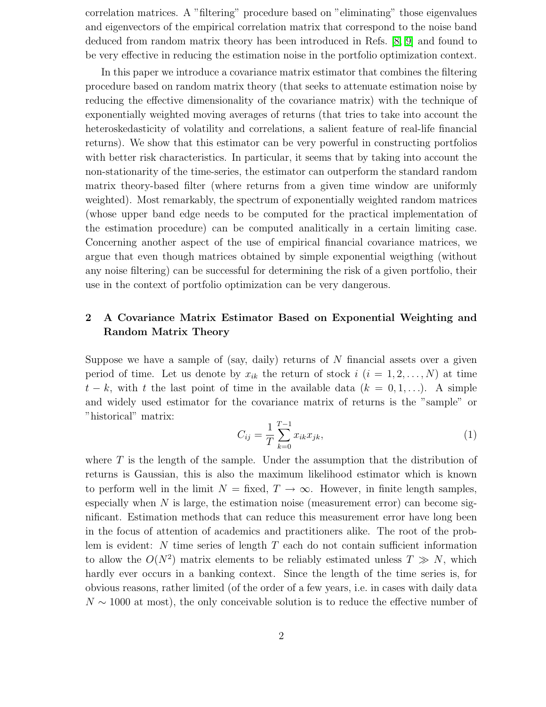correlation matrices. A "filtering" procedure based on "eliminating" those eigenvalues and eigenvectors of the empirical correlation matrix that correspond to the noise band deduced from random matrix theory has been introduced in Refs. [\[8,](#page-12-3) [9\]](#page-12-4) and found to be very effective in reducing the estimation noise in the portfolio optimization context.

In this paper we introduce a covariance matrix estimator that combines the filtering procedure based on random matrix theory (that seeks to attenuate estimation noise by reducing the effective dimensionality of the covariance matrix) with the technique of exponentially weighted moving averages of returns (that tries to take into account the heteroskedasticity of volatility and correlations, a salient feature of real-life financial returns). We show that this estimator can be very powerful in constructing portfolios with better risk characteristics. In particular, it seems that by taking into account the non-stationarity of the time-series, the estimator can outperform the standard random matrix theory-based filter (where returns from a given time window are uniformly weighted). Most remarkably, the spectrum of exponentially weighted random matrices (whose upper band edge needs to be computed for the practical implementation of the estimation procedure) can be computed analitically in a certain limiting case. Concerning another aspect of the use of empirical financial covariance matrices, we argue that even though matrices obtained by simple exponential weigthing (without any noise filtering) can be successful for determining the risk of a given portfolio, their use in the context of portfolio optimization can be very dangerous.

# 2 A Covariance Matrix Estimator Based on Exponential Weighting and Random Matrix Theory

Suppose we have a sample of (say, daily) returns of  $N$  financial assets over a given period of time. Let us denote by  $x_{ik}$  the return of stock  $i$   $(i = 1, 2, \ldots, N)$  at time  $t - k$ , with t the last point of time in the available data  $(k = 0, 1, \ldots)$ . A simple and widely used estimator for the covariance matrix of returns is the "sample" or "historical" matrix:

$$
C_{ij} = \frac{1}{T} \sum_{k=0}^{T-1} x_{ik} x_{jk},
$$
\n(1)

where  $T$  is the length of the sample. Under the assumption that the distribution of returns is Gaussian, this is also the maximum likelihood estimator which is known to perform well in the limit  $N =$  fixed,  $T \to \infty$ . However, in finite length samples, especially when  $N$  is large, the estimation noise (measurement error) can become significant. Estimation methods that can reduce this measurement error have long been in the focus of attention of academics and practitioners alike. The root of the problem is evident: N time series of length  $T$  each do not contain sufficient information to allow the  $O(N^2)$  matrix elements to be reliably estimated unless  $T \gg N$ , which hardly ever occurs in a banking context. Since the length of the time series is, for obvious reasons, rather limited (of the order of a few years, i.e. in cases with daily data  $N \sim 1000$  at most), the only conceivable solution is to reduce the effective number of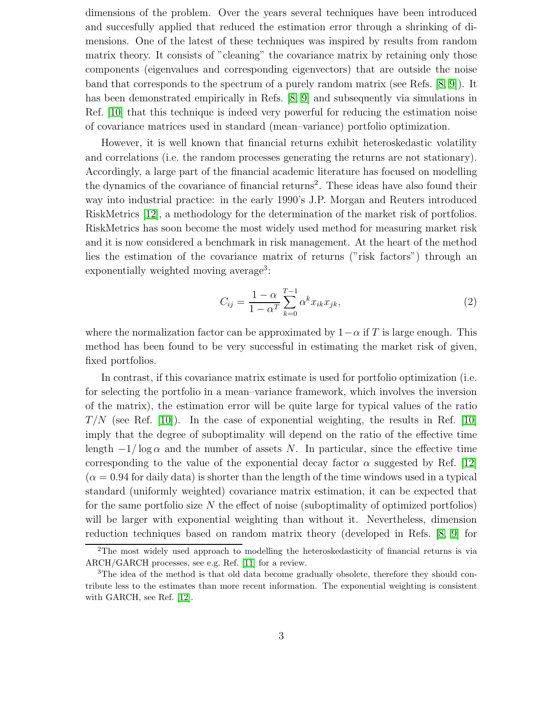dimensions of the problem. Over the years several techniques have been introduced and succesfully applied that reduced the estimation error through a shrinking of dimensions. One of the latest of these techniques was inspired by results from random matrix theory. It consists of "cleaning" the covariance matrix by retaining only those components (eigenvalues and corresponding eigenvectors) that are outside the noise band that corresponds to the spectrum of a purely random matrix (see Refs. [\[8,](#page-12-3) [9\]](#page-12-4)). It has been demonstrated empirically in Refs. [\[8,](#page-12-3) [9\]](#page-12-4) and subsequently via simulations in Ref. [\[10\]](#page-12-5) that this technique is indeed very powerful for reducing the estimation noise of covariance matrices used in standard (mean–variance) portfolio optimization.

However, it is well known that financial returns exhibit heteroskedastic volatility and correlations (i.e. the random processes generating the returns are not stationary). Accordingly, a large part of the financial academic literature has focused on modelling the dynamics of the covariance of financial returns<sup>2</sup>. These ideas have also found their way into industrial practice: in the early 1990's J.P. Morgan and Reuters introduced RiskMetrics [\[12\]](#page-12-6), a methodology for the determination of the market risk of portfolios. RiskMetrics has soon become the most widely used method for measuring market risk and it is now considered a benchmark in risk management. At the heart of the method lies the estimation of the covariance matrix of returns ("risk factors") through an exponentially weighted moving average<sup>3</sup>:

<span id="page-3-0"></span>
$$
C_{ij} = \frac{1 - \alpha}{1 - \alpha^T} \sum_{k=0}^{T-1} \alpha^k x_{ik} x_{jk},
$$
\n(2)

where the normalization factor can be approximated by  $1-\alpha$  if T is large enough. This method has been found to be very successful in estimating the market risk of given, fixed portfolios.

In contrast, if this covariance matrix estimate is used for portfolio optimization (i.e. for selecting the portfolio in a mean–variance framework, which involves the inversion of the matrix), the estimation error will be quite large for typical values of the ratio  $T/N$  (see Ref. [\[10\]](#page-12-5)). In the case of exponential weighting, the results in Ref. [10] imply that the degree of suboptimality will depend on the ratio of the effective time length  $-1/\log \alpha$  and the number of assets N. In particular, since the effective time corresponding to the value of the exponential decay factor  $\alpha$  suggested by Ref. [\[12\]](#page-12-6)  $(\alpha = 0.94$  for daily data) is shorter than the length of the time windows used in a typical standard (uniformly weighted) covariance matrix estimation, it can be expected that for the same portfolio size  $N$  the effect of noise (suboptimality of optimized portfolios) will be larger with exponential weighting than without it. Nevertheless, dimension reduction techniques based on random matrix theory (developed in Refs. [\[8,](#page-12-3) [9\]](#page-12-4) for

<sup>&</sup>lt;sup>2</sup>The most widely used approach to modelling the heteroskedasticity of financial returns is via ARCH/GARCH processes, see e.g. Ref. [\[11\]](#page-12-7) for a review.

<sup>&</sup>lt;sup>3</sup>The idea of the method is that old data become gradually obsolete, therefore they should contribute less to the estimates than more recent information. The exponential weighting is consistent with GARCH, see Ref. [\[12\]](#page-12-6).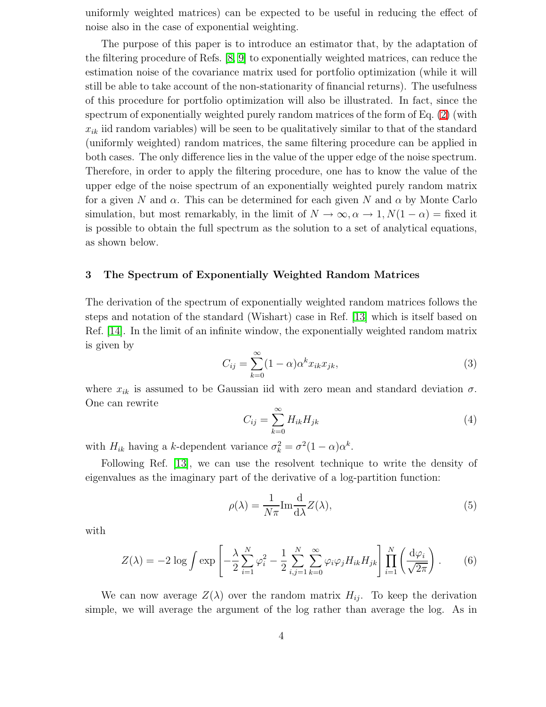uniformly weighted matrices) can be expected to be useful in reducing the effect of noise also in the case of exponential weighting.

The purpose of this paper is to introduce an estimator that, by the adaptation of the filtering procedure of Refs. [\[8,](#page-12-3) [9\]](#page-12-4) to exponentially weighted matrices, can reduce the estimation noise of the covariance matrix used for portfolio optimization (while it will still be able to take account of the non-stationarity of financial returns). The usefulness of this procedure for portfolio optimization will also be illustrated. In fact, since the spectrum of exponentially weighted purely random matrices of the form of Eq. [\(2\)](#page-3-0) (with  $x_{ik}$  iid random variables) will be seen to be qualitatively similar to that of the standard (uniformly weighted) random matrices, the same filtering procedure can be applied in both cases. The only difference lies in the value of the upper edge of the noise spectrum. Therefore, in order to apply the filtering procedure, one has to know the value of the upper edge of the noise spectrum of an exponentially weighted purely random matrix for a given N and  $\alpha$ . This can be determined for each given N and  $\alpha$  by Monte Carlo simulation, but most remarkably, in the limit of  $N \to \infty, \alpha \to 1, N(1 - \alpha) =$  fixed it is possible to obtain the full spectrum as the solution to a set of analytical equations, as shown below.

#### 3 The Spectrum of Exponentially Weighted Random Matrices

The derivation of the spectrum of exponentially weighted random matrices follows the steps and notation of the standard (Wishart) case in Ref. [\[13\]](#page-12-8) which is itself based on Ref. [\[14\]](#page-12-9). In the limit of an infinite window, the exponentially weighted random matrix is given by

$$
C_{ij} = \sum_{k=0}^{\infty} (1 - \alpha) \alpha^k x_{ik} x_{jk},
$$
\n(3)

where  $x_{ik}$  is assumed to be Gaussian iid with zero mean and standard deviation  $\sigma$ . One can rewrite

$$
C_{ij} = \sum_{k=0}^{\infty} H_{ik} H_{jk}
$$
\n<sup>(4)</sup>

with  $H_{ik}$  having a k-dependent variance  $\sigma_k^2 = \sigma^2 (1 - \alpha) \alpha^k$ .

Following Ref. [\[13\]](#page-12-8), we can use the resolvent technique to write the density of eigenvalues as the imaginary part of the derivative of a log-partition function:

<span id="page-4-0"></span>
$$
\rho(\lambda) = \frac{1}{N\pi} \text{Im} \frac{\text{d}}{\text{d}\lambda} Z(\lambda),\tag{5}
$$

with

$$
Z(\lambda) = -2 \log \int \exp \left[ -\frac{\lambda}{2} \sum_{i=1}^{N} \varphi_i^2 - \frac{1}{2} \sum_{i,j=1}^{N} \sum_{k=0}^{\infty} \varphi_i \varphi_j H_{ik} H_{jk} \right] \prod_{i=1}^{N} \left( \frac{\mathrm{d}\varphi_i}{\sqrt{2\pi}} \right). \tag{6}
$$

We can now average  $Z(\lambda)$  over the random matrix  $H_{ij}$ . To keep the derivation simple, we will average the argument of the log rather than average the log. As in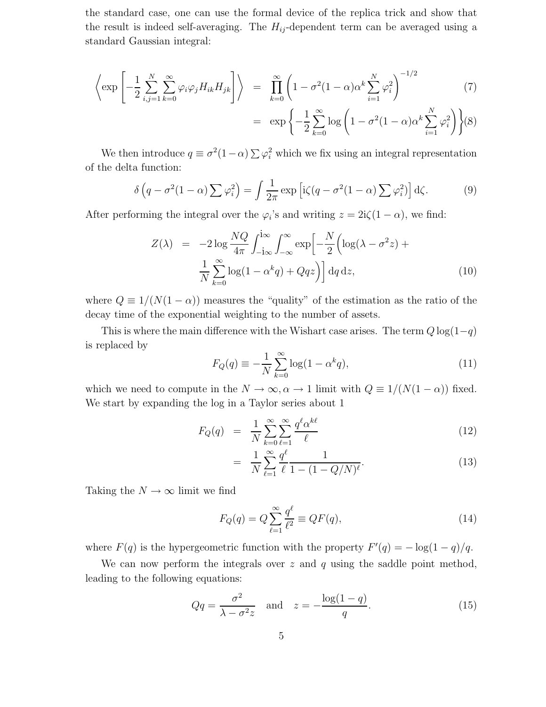the standard case, one can use the formal device of the replica trick and show that the result is indeed self-averaging. The  $H_{ij}$ -dependent term can be averaged using a standard Gaussian integral:

$$
\left\langle \exp\left[-\frac{1}{2}\sum_{i,j=1}^{N}\sum_{k=0}^{\infty}\varphi_{i}\varphi_{j}H_{ik}H_{jk}\right]\right\rangle = \prod_{k=0}^{\infty}\left(1-\sigma^{2}(1-\alpha)\alpha^{k}\sum_{i=1}^{N}\varphi_{i}^{2}\right)^{-1/2} \tag{7}
$$

$$
= \exp\left\{-\frac{1}{2}\sum_{k=0}^{\infty}\log\left(1-\sigma^2(1-\alpha)\alpha^k\sum_{i=1}^N\varphi_i^2\right)\right\}(8)
$$

We then introduce  $q \equiv \sigma^2(1-\alpha) \sum \varphi_i^2$  which we fix using an integral representation of the delta function:

$$
\delta\left(q - \sigma^2(1 - \alpha)\sum\varphi_i^2\right) = \int \frac{1}{2\pi} \exp\left[i\zeta(q - \sigma^2(1 - \alpha)\sum\varphi_i^2)\right] d\zeta.
$$
 (9)

<span id="page-5-0"></span>After performing the integral over the  $\varphi_i$ 's and writing  $z = 2i\zeta(1-\alpha)$ , we find:

$$
Z(\lambda) = -2 \log \frac{NQ}{4\pi} \int_{-i\infty}^{i\infty} \int_{-\infty}^{\infty} \exp\left[-\frac{N}{2} \left(\log(\lambda - \sigma^2 z) + \frac{1}{N} \sum_{k=0}^{\infty} \log(1 - \alpha^k q) + Qqz\right)\right] dq dz,
$$
\n(10)

where  $Q \equiv 1/(N(1-\alpha))$  measures the "quality" of the estimation as the ratio of the decay time of the exponential weighting to the number of assets.

This is where the main difference with the Wishart case arises. The term  $Q \log(1-q)$ is replaced by

$$
F_Q(q) \equiv -\frac{1}{N} \sum_{k=0}^{\infty} \log(1 - \alpha^k q), \qquad (11)
$$

which we need to compute in the  $N \to \infty$ ,  $\alpha \to 1$  limit with  $Q \equiv 1/(N(1-\alpha))$  fixed. We start by expanding the log in a Taylor series about 1

$$
F_Q(q) = \frac{1}{N} \sum_{k=0}^{\infty} \sum_{\ell=1}^{\infty} \frac{q^{\ell} \alpha^{k\ell}}{\ell} \tag{12}
$$

$$
= \frac{1}{N} \sum_{\ell=1}^{\infty} \frac{q^{\ell}}{\ell} \frac{1}{1 - (1 - Q/N)^{\ell}}.
$$
 (13)

Taking the  $N \to \infty$  limit we find

$$
F_Q(q) = Q \sum_{\ell=1}^{\infty} \frac{q^{\ell}}{\ell^2} \equiv QF(q),\tag{14}
$$

where  $F(q)$  is the hypergeometric function with the property  $F'(q) = -\log(1-q)/q$ .

<span id="page-5-1"></span>We can now perform the integrals over  $z$  and  $q$  using the saddle point method, leading to the following equations:

$$
Qq = \frac{\sigma^2}{\lambda - \sigma^2 z} \quad \text{and} \quad z = -\frac{\log(1 - q)}{q}.
$$
 (15)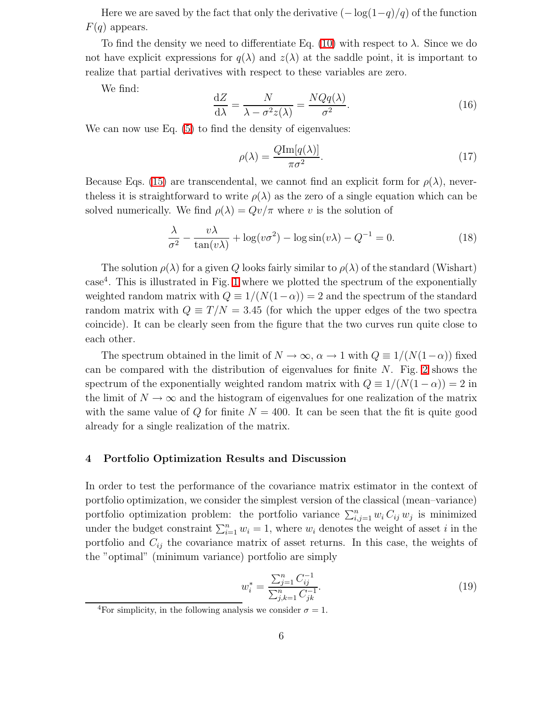Here we are saved by the fact that only the derivative  $(-\log(1-q)/q)$  of the function  $F(q)$  appears.

To find the density we need to differentiate Eq. [\(10\)](#page-5-0) with respect to  $\lambda$ . Since we do not have explicit expressions for  $q(\lambda)$  and  $z(\lambda)$  at the saddle point, it is important to realize that partial derivatives with respect to these variables are zero.

We find:

$$
\frac{\mathrm{d}Z}{\mathrm{d}\lambda} = \frac{N}{\lambda - \sigma^2 z(\lambda)} = \frac{NQq(\lambda)}{\sigma^2}.
$$
\n(16)

We can now use Eq.  $(5)$  to find the density of eigenvalues:

$$
\rho(\lambda) = \frac{Q \text{Im}[q(\lambda)]}{\pi \sigma^2}.
$$
\n(17)

Because Eqs. [\(15\)](#page-5-1) are transcendental, we cannot find an explicit form for  $\rho(\lambda)$ , neverthe less it is straightforward to write  $\rho(\lambda)$  as the zero of a single equation which can be solved numerically. We find  $\rho(\lambda) = Qv/\pi$  where v is the solution of

$$
\frac{\lambda}{\sigma^2} - \frac{v\lambda}{\tan(v\lambda)} + \log(v\sigma^2) - \log\sin(v\lambda) - Q^{-1} = 0.
$$
 (18)

The solution  $\rho(\lambda)$  for a given Q looks fairly similar to  $\rho(\lambda)$  of the standard (Wishart) case<sup>4</sup> . This is illustrated in Fig. [1](#page-7-0) where we plotted the spectrum of the exponentially weighted random matrix with  $Q \equiv 1/(N(1-\alpha)) = 2$  and the spectrum of the standard random matrix with  $Q \equiv T/N = 3.45$  (for which the upper edges of the two spectra coincide). It can be clearly seen from the figure that the two curves run quite close to each other.

The spectrum obtained in the limit of  $N \to \infty$ ,  $\alpha \to 1$  with  $Q \equiv 1/(N(1-\alpha))$  fixed can be compared with the distribution of eigenvalues for finite N. Fig. [2](#page-7-1) shows the spectrum of the exponentially weighted random matrix with  $Q \equiv 1/(N(1-\alpha)) = 2$  in the limit of  $N \to \infty$  and the histogram of eigenvalues for one realization of the matrix with the same value of Q for finite  $N = 400$ . It can be seen that the fit is quite good already for a single realization of the matrix.

### 4 Portfolio Optimization Results and Discussion

In order to test the performance of the covariance matrix estimator in the context of portfolio optimization, we consider the simplest version of the classical (mean–variance) portfolio optimization problem: the portfolio variance  $\sum_{i,j=1}^n w_i C_{ij} w_j$  is minimized under the budget constraint  $\sum_{i=1}^{n} w_i = 1$ , where  $w_i$  denotes the weight of asset i in the portfolio and  $C_{ij}$  the covariance matrix of asset returns. In this case, the weights of the "optimal" (minimum variance) portfolio are simply

<span id="page-6-0"></span>
$$
w_i^* = \frac{\sum_{j=1}^n C_{ij}^{-1}}{\sum_{j,k=1}^n C_{jk}^{-1}}.
$$
\n(19)

<sup>&</sup>lt;sup>4</sup>For simplicity, in the following analysis we consider  $\sigma = 1$ .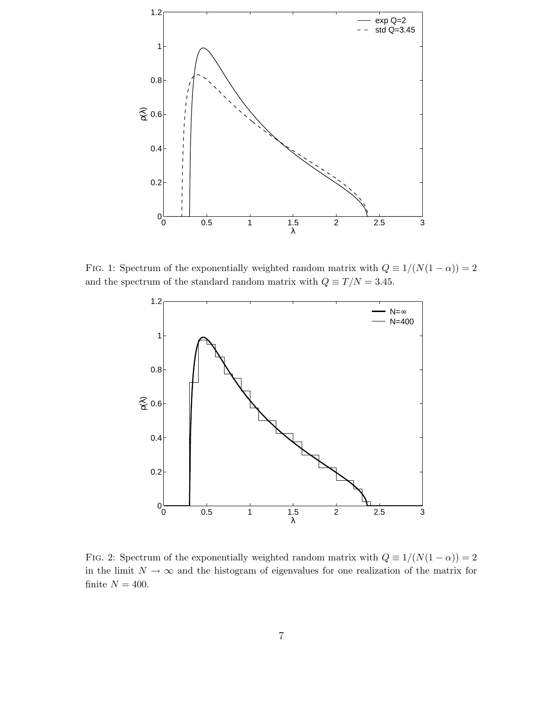

<span id="page-7-0"></span>FIG. 1: Spectrum of the exponentially weighted random matrix with  $Q \equiv 1/(N(1-\alpha)) = 2$ and the spectrum of the standard random matrix with  $Q \equiv T/N = 3.45$ .



<span id="page-7-1"></span>FIG. 2: Spectrum of the exponentially weighted random matrix with  $Q \equiv 1/(N(1-\alpha)) = 2$ in the limit  $N \to \infty$  and the histogram of eigenvalues for one realization of the matrix for finite  $N = 400$ .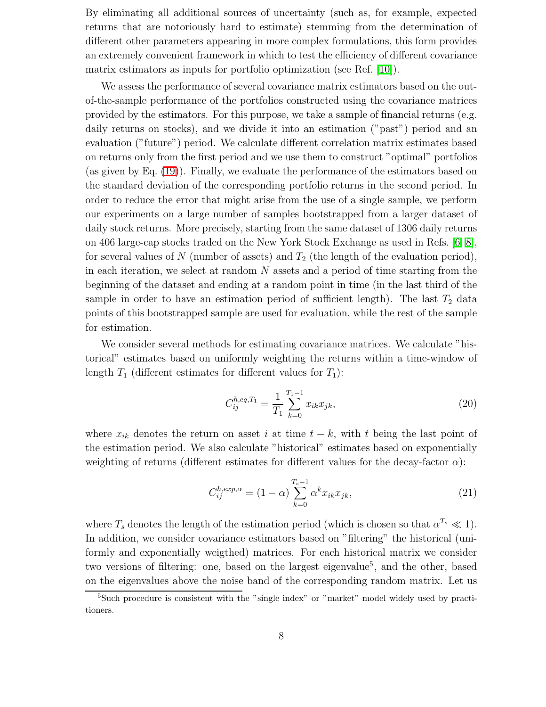By eliminating all additional sources of uncertainty (such as, for example, expected returns that are notoriously hard to estimate) stemming from the determination of different other parameters appearing in more complex formulations, this form provides an extremely convenient framework in which to test the efficiency of different covariance matrix estimators as inputs for portfolio optimization (see Ref. [\[10\]](#page-12-5)).

We assess the performance of several covariance matrix estimators based on the outof-the-sample performance of the portfolios constructed using the covariance matrices provided by the estimators. For this purpose, we take a sample of financial returns (e.g. daily returns on stocks), and we divide it into an estimation ("past") period and an evaluation ("future") period. We calculate different correlation matrix estimates based on returns only from the first period and we use them to construct "optimal" portfolios (as given by Eq. [\(19\)](#page-6-0)). Finally, we evaluate the performance of the estimators based on the standard deviation of the corresponding portfolio returns in the second period. In order to reduce the error that might arise from the use of a single sample, we perform our experiments on a large number of samples bootstrapped from a larger dataset of daily stock returns. More precisely, starting from the same dataset of 1306 daily returns on 406 large-cap stocks traded on the New York Stock Exchange as used in Refs. [\[6,](#page-12-1) [8\]](#page-12-3), for several values of N (number of assets) and  $T_2$  (the length of the evaluation period), in each iteration, we select at random  $N$  assets and a period of time starting from the beginning of the dataset and ending at a random point in time (in the last third of the sample in order to have an estimation period of sufficient length). The last  $T_2$  data points of this bootstrapped sample are used for evaluation, while the rest of the sample for estimation.

We consider several methods for estimating covariance matrices. We calculate "historical" estimates based on uniformly weighting the returns within a time-window of length  $T_1$  (different estimates for different values for  $T_1$ ):

$$
C_{ij}^{h,eq,T_1} = \frac{1}{T_1} \sum_{k=0}^{T_1 - 1} x_{ik} x_{jk},\tag{20}
$$

where  $x_{ik}$  denotes the return on asset i at time  $t - k$ , with t being the last point of the estimation period. We also calculate "historical" estimates based on exponentially weighting of returns (different estimates for different values for the decay-factor  $\alpha$ ):

$$
C_{ij}^{h,exp,\alpha} = (1 - \alpha) \sum_{k=0}^{T_s - 1} \alpha^k x_{ik} x_{jk},
$$
\n(21)

where  $T_s$  denotes the length of the estimation period (which is chosen so that  $\alpha^{T_s} \ll 1$ ). In addition, we consider covariance estimators based on "filtering" the historical (uniformly and exponentially weigthed) matrices. For each historical matrix we consider two versions of filtering: one, based on the largest eigenvalue<sup>5</sup>, and the other, based on the eigenvalues above the noise band of the corresponding random matrix. Let us

<sup>&</sup>lt;sup>5</sup>Such procedure is consistent with the "single index" or "market" model widely used by practitioners.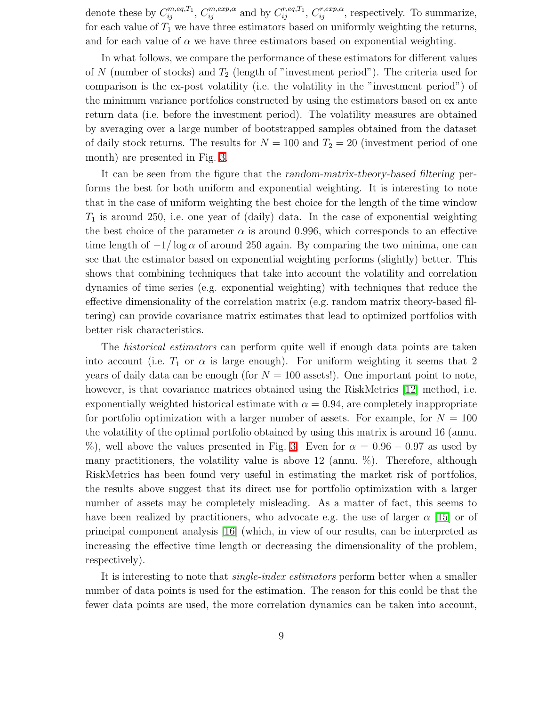denote these by  $C_{ij}^{m,eq,T_1}$ ,  $C_{ij}^{m,exp,\alpha}$  and by  $C_{ij}^{r,eq,T_1}$ ,  $C_{ij}^{r,exp,\alpha}$ , respectively. To summarize, for each value of  $T_1$  we have three estimators based on uniformly weighting the returns, and for each value of  $\alpha$  we have three estimators based on exponential weighting.

In what follows, we compare the performance of these estimators for different values of N (number of stocks) and  $T_2$  (length of "investment period"). The criteria used for comparison is the ex-post volatility (i.e. the volatility in the "investment period") of the minimum variance portfolios constructed by using the estimators based on ex ante return data (i.e. before the investment period). The volatility measures are obtained by averaging over a large number of bootstrapped samples obtained from the dataset of daily stock returns. The results for  $N = 100$  and  $T_2 = 20$  (investment period of one month) are presented in Fig. [3.](#page-10-0)

It can be seen from the figure that the random-matrix-theory-based filtering performs the best for both uniform and exponential weighting. It is interesting to note that in the case of uniform weighting the best choice for the length of the time window  $T_1$  is around 250, i.e. one year of (daily) data. In the case of exponential weighting the best choice of the parameter  $\alpha$  is around 0.996, which corresponds to an effective time length of  $-1/\log \alpha$  of around 250 again. By comparing the two minima, one can see that the estimator based on exponential weighting performs (slightly) better. This shows that combining techniques that take into account the volatility and correlation dynamics of time series (e.g. exponential weighting) with techniques that reduce the effective dimensionality of the correlation matrix (e.g. random matrix theory-based filtering) can provide covariance matrix estimates that lead to optimized portfolios with better risk characteristics.

The historical estimators can perform quite well if enough data points are taken into account (i.e.  $T_1$  or  $\alpha$  is large enough). For uniform weighting it seems that 2 years of daily data can be enough (for  $N = 100$  assets!). One important point to note, however, is that covariance matrices obtained using the RiskMetrics [\[12\]](#page-12-6) method, i.e. exponentially weighted historical estimate with  $\alpha = 0.94$ , are completely inappropriate for portfolio optimization with a larger number of assets. For example, for  $N = 100$ the volatility of the optimal portfolio obtained by using this matrix is around 16 (annu. %), well above the values presented in Fig. [3.](#page-10-0) Even for  $\alpha = 0.96 - 0.97$  as used by many practitioners, the volatility value is above 12 (annu. %). Therefore, although RiskMetrics has been found very useful in estimating the market risk of portfolios, the results above suggest that its direct use for portfolio optimization with a larger number of assets may be completely misleading. As a matter of fact, this seems to have been realized by practitioners, who advocate e.g. the use of larger  $\alpha$  [\[15\]](#page-12-10) or of principal component analysis [\[16\]](#page-12-11) (which, in view of our results, can be interpreted as increasing the effective time length or decreasing the dimensionality of the problem, respectively).

It is interesting to note that single-index estimators perform better when a smaller number of data points is used for the estimation. The reason for this could be that the fewer data points are used, the more correlation dynamics can be taken into account,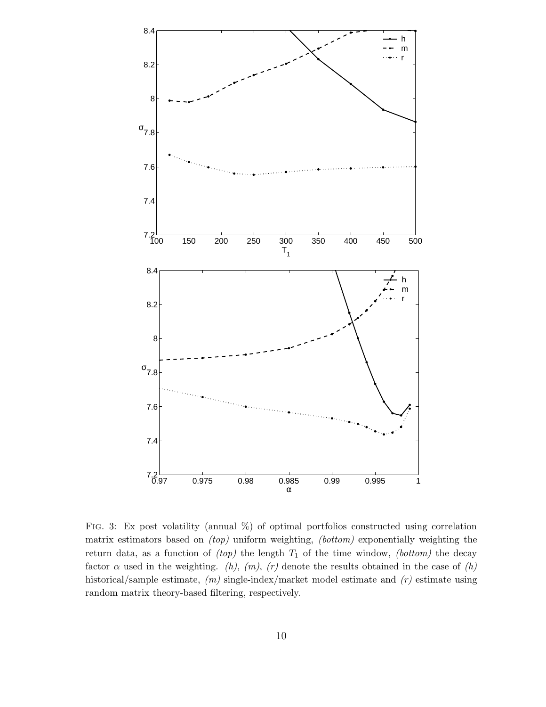

<span id="page-10-0"></span>FIG. 3: Ex post volatility (annual  $\%$ ) of optimal portfolios constructed using correlation matrix estimators based on  $(top)$  uniform weighting,  $(bottom)$  exponentially weighting the return data, as a function of  $(top)$  the length  $T_1$  of the time window,  $(bottom)$  the decay factor  $\alpha$  used in the weighting. (h), (m), (r) denote the results obtained in the case of (h) historical/sample estimate,  $(m)$  single-index/market model estimate and  $(r)$  estimate using random matrix theory-based filtering, respectively.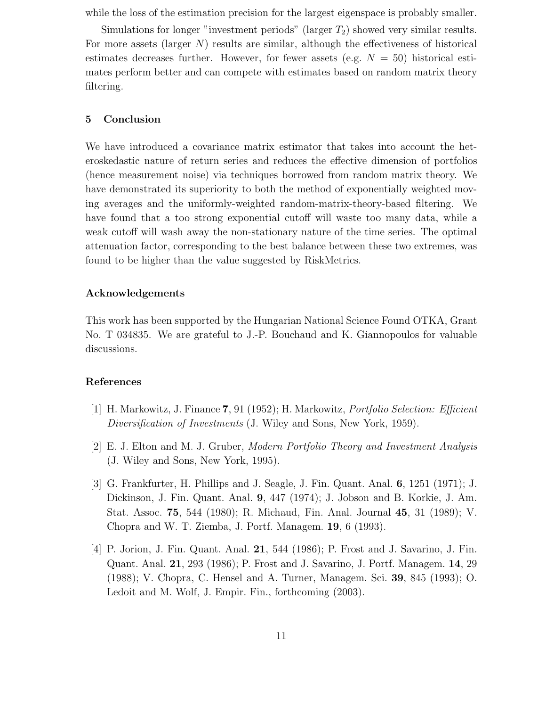while the loss of the estimation precision for the largest eigenspace is probably smaller.

Simulations for longer "investment periods" (larger  $T_2$ ) showed very similar results. For more assets (larger  $N$ ) results are similar, although the effectiveness of historical estimates decreases further. However, for fewer assets (e.g.  $N = 50$ ) historical estimates perform better and can compete with estimates based on random matrix theory filtering.

# 5 Conclusion

We have introduced a covariance matrix estimator that takes into account the heteroskedastic nature of return series and reduces the effective dimension of portfolios (hence measurement noise) via techniques borrowed from random matrix theory. We have demonstrated its superiority to both the method of exponentially weighted moving averages and the uniformly-weighted random-matrix-theory-based filtering. We have found that a too strong exponential cutoff will waste too many data, while a weak cutoff will wash away the non-stationary nature of the time series. The optimal attenuation factor, corresponding to the best balance between these two extremes, was found to be higher than the value suggested by RiskMetrics.

#### Acknowledgements

This work has been supported by the Hungarian National Science Found OTKA, Grant No. T 034835. We are grateful to J.-P. Bouchaud and K. Giannopoulos for valuable discussions.

# <span id="page-11-0"></span>References

- <span id="page-11-1"></span>[1] H. Markowitz, J. Finance 7, 91 (1952); H. Markowitz, Portfolio Selection: Efficient Diversification of Investments (J. Wiley and Sons, New York, 1959).
- <span id="page-11-2"></span>[2] E. J. Elton and M. J. Gruber, Modern Portfolio Theory and Investment Analysis (J. Wiley and Sons, New York, 1995).
- [3] G. Frankfurter, H. Phillips and J. Seagle, J. Fin. Quant. Anal. 6, 1251 (1971); J. Dickinson, J. Fin. Quant. Anal. 9, 447 (1974); J. Jobson and B. Korkie, J. Am. Stat. Assoc. 75, 544 (1980); R. Michaud, Fin. Anal. Journal 45, 31 (1989); V. Chopra and W. T. Ziemba, J. Portf. Managem. 19, 6 (1993).
- <span id="page-11-3"></span>[4] P. Jorion, J. Fin. Quant. Anal. 21, 544 (1986); P. Frost and J. Savarino, J. Fin. Quant. Anal. 21, 293 (1986); P. Frost and J. Savarino, J. Portf. Managem. 14, 29 (1988); V. Chopra, C. Hensel and A. Turner, Managem. Sci. 39, 845 (1993); O. Ledoit and M. Wolf, J. Empir. Fin., forthcoming (2003).